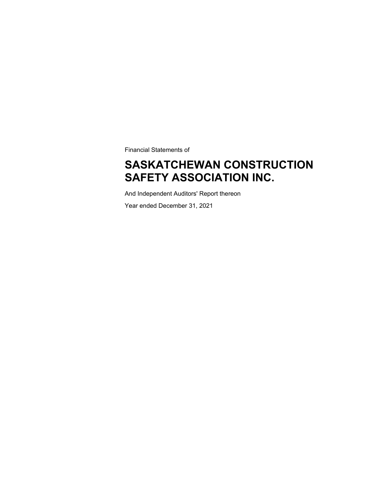Financial Statements of

### **SASKATCHEWAN CONSTRUCTION SAFETY ASSOCIATION INC.**

And Independent Auditors' Report thereon

Year ended December 31, 2021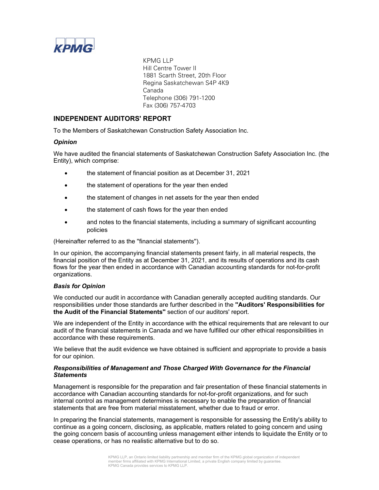

KPMG LLP Hill Centre Tower II 1881 Scarth Street, 20th Floor Regina Saskatchewan S4P 4K9 Canada Telephone (306) 791-1200 Fax (306) 757-4703

### **INDEPENDENT AUDITORS' REPORT**

To the Members of Saskatchewan Construction Safety Association Inc.

#### *Opinion*

We have audited the financial statements of Saskatchewan Construction Safety Association Inc. (the Entity), which comprise:

- the statement of financial position as at December 31, 2021
- the statement of operations for the year then ended
- the statement of changes in net assets for the year then ended
- the statement of cash flows for the year then ended
- and notes to the financial statements, including a summary of significant accounting policies

(Hereinafter referred to as the ''financial statements'').

In our opinion, the accompanying financial statements present fairly, in all material respects, the financial position of the Entity as at December 31, 2021, and its results of operations and its cash flows for the year then ended in accordance with Canadian accounting standards for not-for-profit organizations.

#### *Basis for Opinion*

We conducted our audit in accordance with Canadian generally accepted auditing standards. Our responsibilities under those standards are further described in the **''Auditors' Responsibilities for the Audit of the Financial Statements''** section of our auditors' report.

We are independent of the Entity in accordance with the ethical requirements that are relevant to our audit of the financial statements in Canada and we have fulfilled our other ethical responsibilities in accordance with these requirements.

We believe that the audit evidence we have obtained is sufficient and appropriate to provide a basis for our opinion.

#### *Responsibilities of Management and Those Charged With Governance for the Financial Statements*

Management is responsible for the preparation and fair presentation of these financial statements in accordance with Canadian accounting standards for not-for-profit organizations, and for such internal control as management determines is necessary to enable the preparation of financial statements that are free from material misstatement, whether due to fraud or error.

In preparing the financial statements, management is responsible for assessing the Entity's ability to continue as a going concern, disclosing, as applicable, matters related to going concern and using the going concern basis of accounting unless management either intends to liquidate the Entity or to cease operations, or has no realistic alternative but to do so.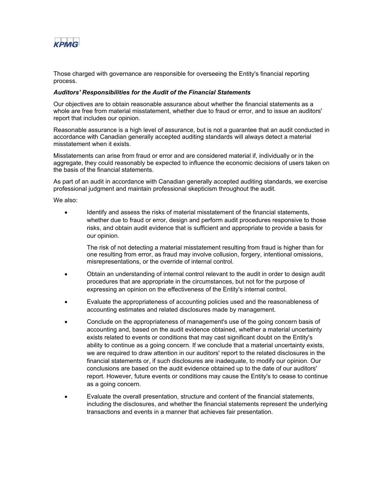

Those charged with governance are responsible for overseeing the Entity's financial reporting process.

#### *Auditors' Responsibilities for the Audit of the Financial Statements*

Our objectives are to obtain reasonable assurance about whether the financial statements as a whole are free from material misstatement, whether due to fraud or error, and to issue an auditors' report that includes our opinion.

Reasonable assurance is a high level of assurance, but is not a guarantee that an audit conducted in accordance with Canadian generally accepted auditing standards will always detect a material misstatement when it exists.

Misstatements can arise from fraud or error and are considered material if, individually or in the aggregate, they could reasonably be expected to influence the economic decisions of users taken on the basis of the financial statements.

As part of an audit in accordance with Canadian generally accepted auditing standards, we exercise professional judgment and maintain professional skepticism throughout the audit.

We also:

 Identify and assess the risks of material misstatement of the financial statements, whether due to fraud or error, design and perform audit procedures responsive to those risks, and obtain audit evidence that is sufficient and appropriate to provide a basis for our opinion.

The risk of not detecting a material misstatement resulting from fraud is higher than for one resulting from error, as fraud may involve collusion, forgery, intentional omissions, misrepresentations, or the override of internal control.

- Obtain an understanding of internal control relevant to the audit in order to design audit procedures that are appropriate in the circumstances, but not for the purpose of expressing an opinion on the effectiveness of the Entity's internal control.
- Evaluate the appropriateness of accounting policies used and the reasonableness of accounting estimates and related disclosures made by management.
- Conclude on the appropriateness of management's use of the going concern basis of accounting and, based on the audit evidence obtained, whether a material uncertainty exists related to events or conditions that may cast significant doubt on the Entity's ability to continue as a going concern. If we conclude that a material uncertainty exists, we are required to draw attention in our auditors' report to the related disclosures in the financial statements or, if such disclosures are inadequate, to modify our opinion. Our conclusions are based on the audit evidence obtained up to the date of our auditors' report. However, future events or conditions may cause the Entity's to cease to continue as a going concern.
- Evaluate the overall presentation, structure and content of the financial statements, including the disclosures, and whether the financial statements represent the underlying transactions and events in a manner that achieves fair presentation.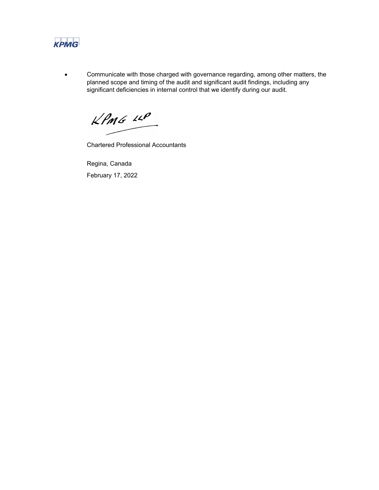

 Communicate with those charged with governance regarding, among other matters, the planned scope and timing of the audit and significant audit findings, including any significant deficiencies in internal control that we identify during our audit.

 $kPMS$  11P

Chartered Professional Accountants

Regina, Canada February 17, 2022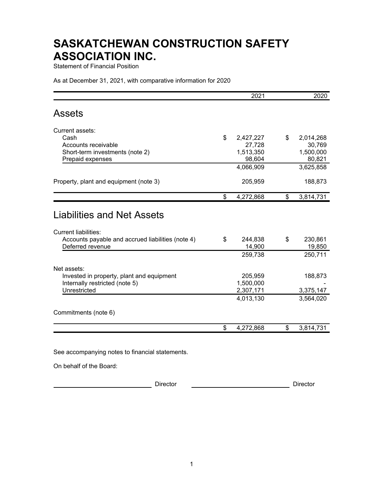Statement of Financial Position

As at December 31, 2021, with comparative information for 2020

|                                                                                                      | 2021                    | 2020                    |
|------------------------------------------------------------------------------------------------------|-------------------------|-------------------------|
| <b>Assets</b>                                                                                        |                         |                         |
| Current assets:                                                                                      |                         |                         |
| Cash                                                                                                 | \$<br>2,427,227         | \$<br>2,014,268         |
| Accounts receivable                                                                                  | 27,728                  | 30,769                  |
| Short-term investments (note 2)                                                                      | 1,513,350               | 1,500,000               |
| Prepaid expenses                                                                                     | 98,604                  | 80,821                  |
|                                                                                                      | 4,066,909               | 3,625,858               |
| Property, plant and equipment (note 3)                                                               | 205,959                 | 188,873                 |
|                                                                                                      | \$<br>4,272,868         | \$<br>3,814,731         |
| <b>Current liabilities:</b><br>Accounts payable and accrued liabilities (note 4)<br>Deferred revenue | \$<br>244,838<br>14,900 | \$<br>230,861<br>19,850 |
|                                                                                                      | 259,738                 | 250,711                 |
| Net assets:                                                                                          |                         |                         |
| Invested in property, plant and equipment                                                            | 205,959                 | 188,873                 |
| Internally restricted (note 5)                                                                       | 1,500,000               |                         |
| Unrestricted                                                                                         | 2,307,171               | 3,375,147               |
|                                                                                                      | 4,013,130               | 3,564,020               |
| Commitments (note 6)                                                                                 |                         |                         |
|                                                                                                      | \$<br>4,272,868         | \$<br>3,814,731         |
|                                                                                                      |                         |                         |

See accompanying notes to financial statements.

On behalf of the Board:

Director **Director** Director **Director Director Director**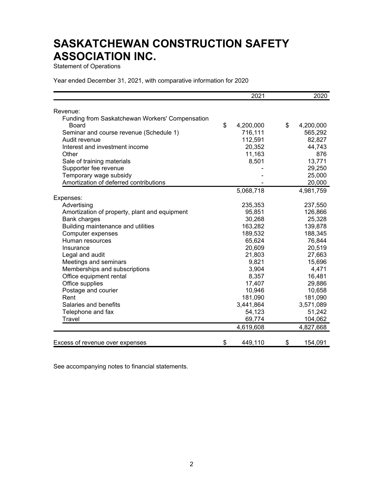Statement of Operations

Year ended December 31, 2021, with comparative information for 2020

|                                                 | 2021            | 2020            |
|-------------------------------------------------|-----------------|-----------------|
|                                                 |                 |                 |
| Revenue:                                        |                 |                 |
| Funding from Saskatchewan Workers' Compensation |                 |                 |
| <b>Board</b>                                    | \$<br>4,200,000 | \$<br>4,200,000 |
| Seminar and course revenue (Schedule 1)         | 716,111         | 565,292         |
| Audit revenue                                   | 112,591         | 82,827          |
| Interest and investment income                  | 20,352          | 44,743          |
| Other                                           | 11,163          | 876             |
| Sale of training materials                      | 8,501           | 13,771          |
| Supporter fee revenue                           |                 | 29,250          |
| Temporary wage subsidy                          |                 | 25,000          |
| Amortization of deferred contributions          |                 | 20,000          |
|                                                 | 5,068,718       | 4,981,759       |
| Expenses:                                       |                 |                 |
| Advertising                                     | 235,353         | 237,550         |
| Amortization of property, plant and equipment   | 95,851          | 126,866         |
| Bank charges                                    | 30,268          | 25,328          |
| Building maintenance and utilities              | 163,282         | 139,878         |
| Computer expenses                               | 189,532         | 188,345         |
| Human resources                                 | 65,624          | 76,844          |
| Insurance                                       | 20,609          | 20,519          |
| Legal and audit                                 | 21,803          | 27,663          |
| Meetings and seminars                           | 9,821           | 15,696          |
| Memberships and subscriptions                   | 3,904           | 4,471           |
| Office equipment rental                         | 8,357           | 16,481          |
| Office supplies                                 | 17,407          | 29,886          |
| Postage and courier                             | 10,946          | 10,658          |
| Rent                                            | 181,090         | 181,090         |
| Salaries and benefits                           | 3,441,864       | 3,571,089       |
| Telephone and fax                               | 54,123          | 51,242          |
| Travel                                          | 69,774          | 104,062         |
|                                                 | 4,619,608       | 4,827,668       |
|                                                 |                 |                 |
| Excess of revenue over expenses                 | \$<br>449,110   | \$<br>154,091   |

See accompanying notes to financial statements.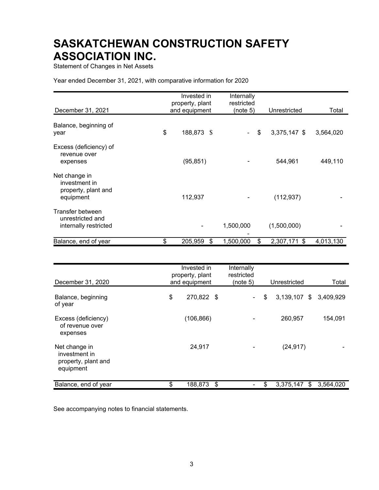Statement of Changes in Net Assets

Year ended December 31, 2021, with comparative information for 2020

| December 31, 2021                                                  | Invested in<br>property, plant<br>and equipment | Internally<br>restricted<br>(note 5) | Unrestricted                              | Total     |
|--------------------------------------------------------------------|-------------------------------------------------|--------------------------------------|-------------------------------------------|-----------|
|                                                                    |                                                 |                                      |                                           |           |
| Balance, beginning of<br>year                                      | \$<br>188,873 \$                                |                                      | $\boldsymbol{\mathsf{s}}$<br>3,375,147 \$ | 3,564,020 |
| Excess (deficiency) of<br>revenue over<br>expenses                 | (95, 851)                                       |                                      | 544,961                                   | 449,110   |
| Net change in<br>investment in<br>property, plant and<br>equipment | 112,937                                         |                                      | (112, 937)                                |           |
| Transfer between<br>unrestricted and<br>internally restricted      |                                                 | 1,500,000                            | (1,500,000)                               |           |
| Balance, end of year                                               | \$<br>205,959<br>\$                             | 1,500,000                            | \$<br>2,307,171<br>\$                     | 4,013,130 |

|                                                                    | Invested in<br>property, plant | Internally<br>restricted |            |    |                 |                        |  |
|--------------------------------------------------------------------|--------------------------------|--------------------------|------------|----|-----------------|------------------------|--|
| December 31, 2020                                                  | and equipment                  |                          | (note 5)   |    | Unrestricted    | Total                  |  |
| Balance, beginning<br>of year                                      | \$<br>270,822 \$               |                          | $\sim 100$ | \$ |                 | 3,139,107 \$ 3,409,929 |  |
| Excess (deficiency)<br>of revenue over<br>expenses                 | (106, 866)                     |                          |            |    | 260,957         | 154,091                |  |
| Net change in<br>investment in<br>property, plant and<br>equipment | 24,917                         |                          |            |    | (24, 917)       |                        |  |
| Balance, end of year                                               | \$<br>188,873                  | \$                       |            | \$ | 3,375,147<br>\$ | 3,564,020              |  |

See accompanying notes to financial statements.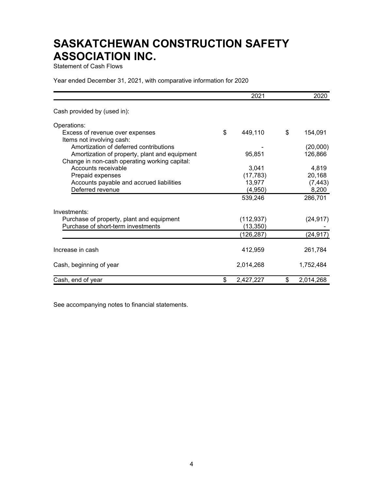Statement of Cash Flows

Year ended December 31, 2021, with comparative information for 2020

|                                                                                                | 2021            | 2020            |
|------------------------------------------------------------------------------------------------|-----------------|-----------------|
| Cash provided by (used in):                                                                    |                 |                 |
| Operations:                                                                                    |                 |                 |
| Excess of revenue over expenses                                                                | \$<br>449,110   | \$<br>154,091   |
| Items not involving cash:                                                                      |                 |                 |
| Amortization of deferred contributions                                                         |                 | (20,000)        |
| Amortization of property, plant and equipment<br>Change in non-cash operating working capital: | 95,851          | 126,866         |
| Accounts receivable                                                                            | 3,041           | 4,819           |
| Prepaid expenses                                                                               | (17, 783)       | 20,168          |
| Accounts payable and accrued liabilities                                                       | 13,977          | (7, 443)        |
| Deferred revenue                                                                               | (4,950)         | 8,200           |
|                                                                                                | 539,246         | 286,701         |
| Investments:                                                                                   |                 |                 |
| Purchase of property, plant and equipment                                                      | (112, 937)      | (24, 917)       |
| Purchase of short-term investments                                                             | (13,350)        |                 |
|                                                                                                | (126,287)       | (24, 917)       |
| Increase in cash                                                                               | 412,959         | 261,784         |
| Cash, beginning of year                                                                        | 2,014,268       | 1,752,484       |
| Cash, end of year                                                                              | \$<br>2,427,227 | \$<br>2,014,268 |

See accompanying notes to financial statements.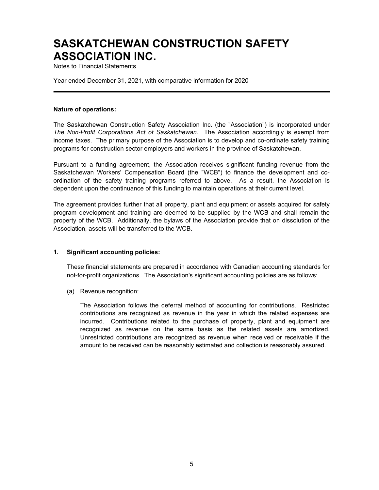Notes to Financial Statements

Year ended December 31, 2021, with comparative information for 2020

#### **Nature of operations:**

The Saskatchewan Construction Safety Association Inc. (the "Association") is incorporated under *The Non-Profit Corporations Act of Saskatchewan*. The Association accordingly is exempt from income taxes. The primary purpose of the Association is to develop and co-ordinate safety training programs for construction sector employers and workers in the province of Saskatchewan.

Pursuant to a funding agreement, the Association receives significant funding revenue from the Saskatchewan Workers' Compensation Board (the "WCB") to finance the development and coordination of the safety training programs referred to above. As a result, the Association is dependent upon the continuance of this funding to maintain operations at their current level.

The agreement provides further that all property, plant and equipment or assets acquired for safety program development and training are deemed to be supplied by the WCB and shall remain the property of the WCB. Additionally, the bylaws of the Association provide that on dissolution of the Association, assets will be transferred to the WCB.

#### **1. Significant accounting policies:**

These financial statements are prepared in accordance with Canadian accounting standards for not-for-profit organizations. The Association's significant accounting policies are as follows:

(a) Revenue recognition:

The Association follows the deferral method of accounting for contributions. Restricted contributions are recognized as revenue in the year in which the related expenses are incurred. Contributions related to the purchase of property, plant and equipment are recognized as revenue on the same basis as the related assets are amortized. Unrestricted contributions are recognized as revenue when received or receivable if the amount to be received can be reasonably estimated and collection is reasonably assured.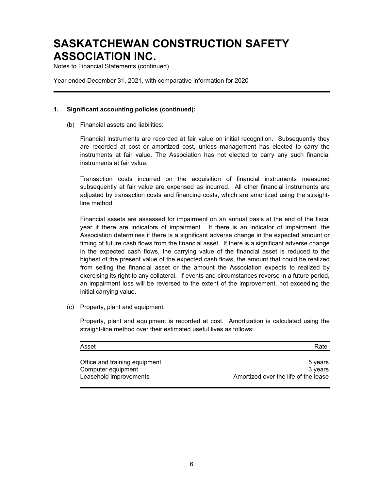Notes to Financial Statements (continued)

Year ended December 31, 2021, with comparative information for 2020

### **1. Significant accounting policies (continued):**

(b) Financial assets and liabilities:

Financial instruments are recorded at fair value on initial recognition. Subsequently they are recorded at cost or amortized cost, unless management has elected to carry the instruments at fair value. The Association has not elected to carry any such financial instruments at fair value.

Transaction costs incurred on the acquisition of financial instruments measured subsequently at fair value are expensed as incurred. All other financial instruments are adjusted by transaction costs and financing costs, which are amortized using the straightline method.

Financial assets are assessed for impairment on an annual basis at the end of the fiscal year if there are indicators of impairment. If there is an indicator of impairment, the Association determines if there is a significant adverse change in the expected amount or timing of future cash flows from the financial asset. If there is a significant adverse change in the expected cash flows, the carrying value of the financial asset is reduced to the highest of the present value of the expected cash flows, the amount that could be realized from selling the financial asset or the amount the Association expects to realized by exercising its right to any collateral. If events and circumstances reverse in a future period, an impairment loss will be reversed to the extent of the improvement, not exceeding the initial carrying value.

(c) Property, plant and equipment:

Property, plant and equipment is recorded at cost. Amortization is calculated using the straight-line method over their estimated useful lives as follows:

| Asset                                                                         | Rate                                                       |
|-------------------------------------------------------------------------------|------------------------------------------------------------|
| Office and training equipment<br>Computer equipment<br>Leasehold improvements | 5 years<br>3 years<br>Amortized over the life of the lease |
|                                                                               |                                                            |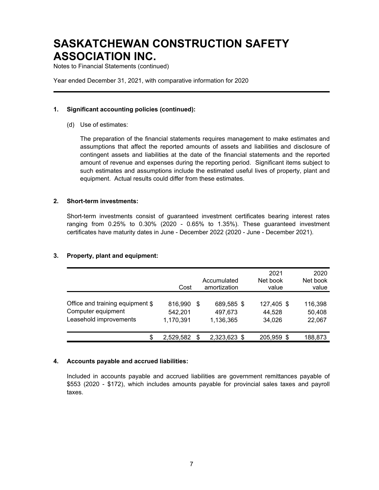Notes to Financial Statements (continued)

Year ended December 31, 2021, with comparative information for 2020

### **1. Significant accounting policies (continued):**

(d) Use of estimates:

The preparation of the financial statements requires management to make estimates and assumptions that affect the reported amounts of assets and liabilities and disclosure of contingent assets and liabilities at the date of the financial statements and the reported amount of revenue and expenses during the reporting period. Significant items subject to such estimates and assumptions include the estimated useful lives of property, plant and equipment. Actual results could differ from these estimates.

### **2. Short-term investments:**

Short-term investments consist of guaranteed investment certificates bearing interest rates ranging from 0.25% to 0.30% (2020 - 0.65% to 1.35%). These guaranteed investment certificates have maturity dates in June - December 2022 (2020 - June - December 2021).

|                                                                                  | Cost                            |   | Accumulated<br>amortization        | 2021<br>Net book<br>value      | 2020<br>Net book<br>value   |
|----------------------------------------------------------------------------------|---------------------------------|---|------------------------------------|--------------------------------|-----------------------------|
| Office and training equipment \$<br>Computer equipment<br>Leasehold improvements | 816,990<br>542,201<br>1,170,391 | S | 689,585 \$<br>497,673<br>1,136,365 | 127,405 \$<br>44,528<br>34,026 | 116,398<br>50,408<br>22,067 |
| S                                                                                | 2,529,582                       |   | 2,323,623 \$                       | 205,959 \$                     | 188,873                     |

### **3. Property, plant and equipment:**

### **4. Accounts payable and accrued liabilities:**

Included in accounts payable and accrued liabilities are government remittances payable of \$553 (2020 - \$172), which includes amounts payable for provincial sales taxes and payroll taxes.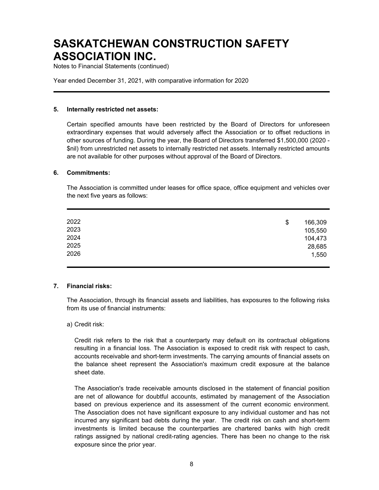Notes to Financial Statements (continued)

Year ended December 31, 2021, with comparative information for 2020

#### **5. Internally restricted net assets:**

Certain specified amounts have been restricted by the Board of Directors for unforeseen extraordinary expenses that would adversely affect the Association or to offset reductions in other sources of funding. During the year, the Board of Directors transferred \$1,500,000 (2020 - \$nil) from unrestricted net assets to internally restricted net assets. Internally restricted amounts are not available for other purposes without approval of the Board of Directors.

#### **6. Commitments:**

The Association is committed under leases for office space, office equipment and vehicles over the next five years as follows:

| 2022 | \$<br>166,309 |
|------|---------------|
| 2023 | 105,550       |
| 2024 | 104,473       |
| 2025 | 28,685        |
| 2026 | 1,550         |
|      |               |

#### **7. Financial risks:**

The Association, through its financial assets and liabilities, has exposures to the following risks from its use of financial instruments:

a) Credit risk:

Credit risk refers to the risk that a counterparty may default on its contractual obligations resulting in a financial loss. The Association is exposed to credit risk with respect to cash, accounts receivable and short-term investments. The carrying amounts of financial assets on the balance sheet represent the Association's maximum credit exposure at the balance sheet date.

The Association's trade receivable amounts disclosed in the statement of financial position are net of allowance for doubtful accounts, estimated by management of the Association based on previous experience and its assessment of the current economic environment. The Association does not have significant exposure to any individual customer and has not incurred any significant bad debts during the year. The credit risk on cash and short-term investments is limited because the counterparties are chartered banks with high credit ratings assigned by national credit-rating agencies. There has been no change to the risk exposure since the prior year.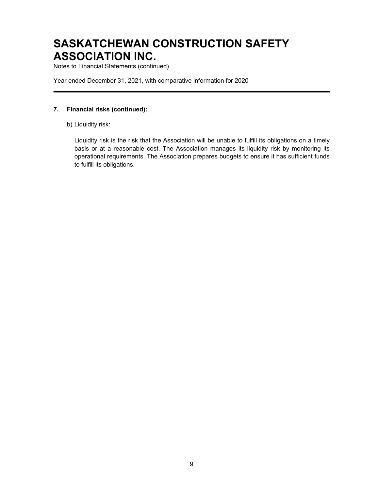Notes to Financial Statements (continued)

Year ended December 31, 2021, with comparative information for 2020

### **7. Financial risks (continued):**

b) Liquidity risk:

Liquidity risk is the risk that the Association will be unable to fulfill its obligations on a timely basis or at a reasonable cost. The Association manages its liquidity risk by monitoring its operational requirements. The Association prepares budgets to ensure it has sufficient funds to fulfill its obligations.